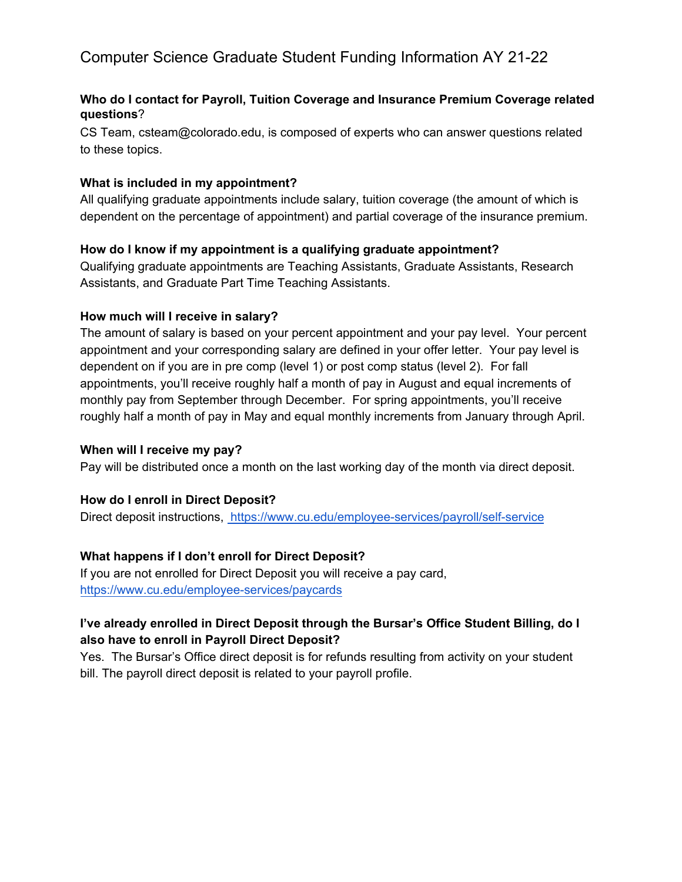# Computer Science Graduate Student Funding Information AY 21-22

### **Who do I contact for Payroll, Tuition Coverage and Insurance Premium Coverage related questions**?

CS Team, csteam@colorado.edu, is composed of experts who can answer questions related to these topics.

#### **What is included in my appointment?**

All qualifying graduate appointments include salary, tuition coverage (the amount of which is dependent on the percentage of appointment) and partial coverage of the insurance premium.

#### **How do I know if my appointment is a qualifying graduate appointment?**

Qualifying graduate appointments are Teaching Assistants, Graduate Assistants, Research Assistants, and Graduate Part Time Teaching Assistants.

#### **How much will I receive in salary?**

The amount of salary is based on your percent appointment and your pay level. Your percent appointment and your corresponding salary are defined in your offer letter. Your pay level is dependent on if you are in pre comp (level 1) or post comp status (level 2). For fall appointments, you'll receive roughly half a month of pay in August and equal increments of monthly pay from September through December. For spring appointments, you'll receive roughly half a month of pay in May and equal monthly increments from January through April.

#### **When will I receive my pay?**

Pay will be distributed once a month on the last working day of the month via direct deposit.

#### **How do I enroll in Direct Deposit?**

Direct deposit instructions, https://www.cu.edu/employee-services/payroll/self-service

### **What happens if I don't enroll for Direct Deposit?**

If you are not enrolled for Direct Deposit you will receive a pay card, https://www.cu.edu/employee-services/paycards

# **I've already enrolled in Direct Deposit through the Bursar's Office Student Billing, do I also have to enroll in Payroll Direct Deposit?**

Yes. The Bursar's Office direct deposit is for refunds resulting from activity on your student bill. The payroll direct deposit is related to your payroll profile.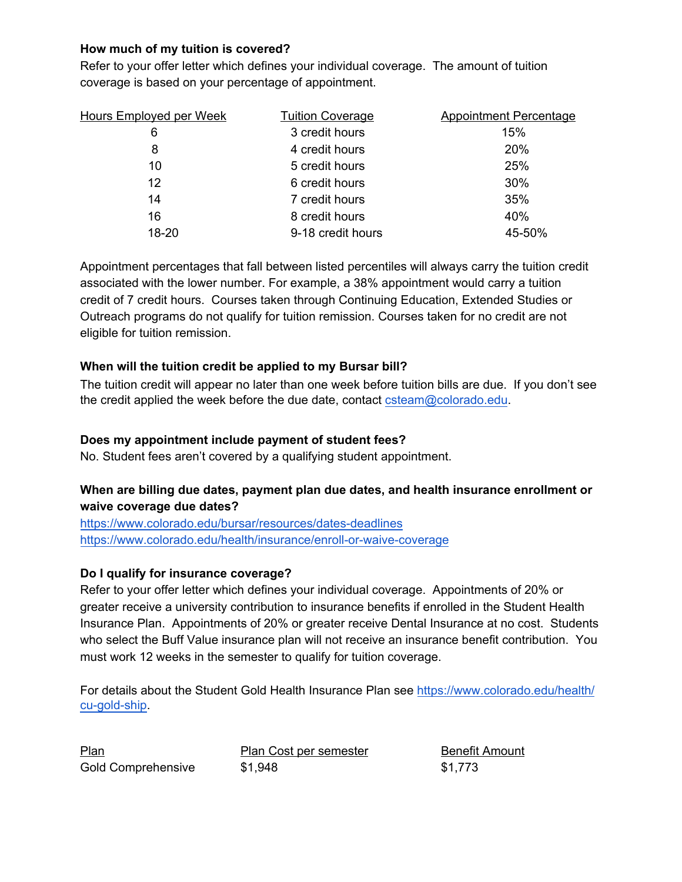# **How much of my tuition is covered?**

Refer to your offer letter which defines your individual coverage. The amount of tuition coverage is based on your percentage of appointment.

| <b>Hours Employed per Week</b> | <b>Tuition Coverage</b> | <b>Appointment Percentage</b> |
|--------------------------------|-------------------------|-------------------------------|
| 6                              | 3 credit hours          | 15%                           |
| 8                              | 4 credit hours          | 20%                           |
| 10                             | 5 credit hours          | 25%                           |
| 12                             | 6 credit hours          | 30%                           |
| 14                             | 7 credit hours          | 35%                           |
| 16                             | 8 credit hours          | 40%                           |
| 18-20                          | 9-18 credit hours       | 45-50%                        |

Appointment percentages that fall between listed percentiles will always carry the tuition credit associated with the lower number. For example, a 38% appointment would carry a tuition credit of 7 credit hours. Courses taken through Continuing Education, Extended Studies or Outreach programs do not qualify for tuition remission. Courses taken for no credit are not eligible for tuition remission.

### **When will the tuition credit be applied to my Bursar bill?**

The tuition credit will appear no later than one week before tuition bills are due. If you don't see the credit applied the week before the due date, contact csteam@colorado.edu.

### **Does my appointment include payment of student fees?**

No. Student fees aren't covered by a qualifying student appointment.

# **When are billing due dates, payment plan due dates, and health insurance enrollment or waive coverage due dates?**

https://www.colorado.edu/bursar/resources/dates-deadlines https://www.colorado.edu/health/insurance/enroll-or-waive-coverage

# **Do I qualify for insurance coverage?**

Refer to your offer letter which defines your individual coverage. Appointments of 20% or greater receive a university contribution to insurance benefits if enrolled in the Student Health Insurance Plan. Appointments of 20% or greater receive Dental Insurance at no cost. Students who select the Buff Value insurance plan will not receive an insurance benefit contribution. You must work 12 weeks in the semester to qualify for tuition coverage.

For details about the Student Gold Health Insurance Plan see https://www.colorado.edu/health/ cu-gold-ship.

Plan Plan Cost per semester Benefit Amount Gold Comprehensive  $$1,948$  \$1,773